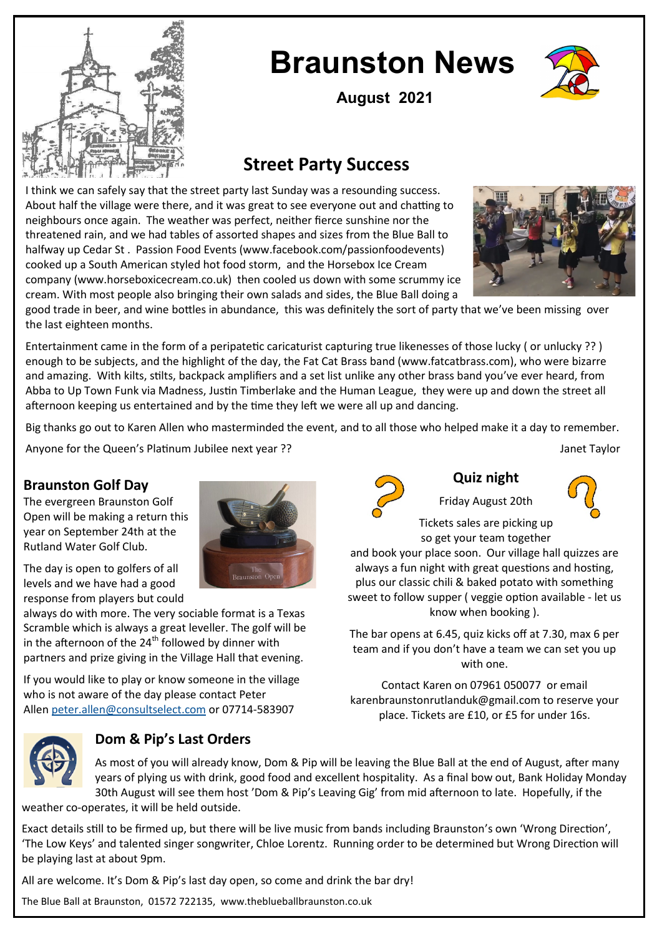

# **Braunston News**



**August 2021**

## **Street Party Success**

I think we can safely say that the street party last Sunday was a resounding success. About half the village were there, and it was great to see everyone out and chatting to neighbours once again. The weather was perfect, neither fierce sunshine nor the threatened rain, and we had tables of assorted shapes and sizes from the Blue Ball to halfway up Cedar St . Passion Food Events (www.facebook.com/passionfoodevents) cooked up a South American styled hot food storm, and the Horsebox Ice Cream company (www.horseboxicecream.co.uk) then cooled us down with some scrummy ice cream. With most people also bringing their own salads and sides, the Blue Ball doing a



good trade in beer, and wine bottles in abundance, this was definitely the sort of party that we've been missing over the last eighteen months.

Entertainment came in the form of a peripatetic caricaturist capturing true likenesses of those lucky ( or unlucky ?? ) enough to be subjects, and the highlight of the day, the Fat Cat Brass band (www.fatcatbrass.com), who were bizarre and amazing. With kilts, stilts, backpack amplifiers and a set list unlike any other brass band you've ever heard, from Abba to Up Town Funk via Madness, Justin Timberlake and the Human League, they were up and down the street all afternoon keeping us entertained and by the time they left we were all up and dancing.

Big thanks go out to Karen Allen who masterminded the event, and to all those who helped make it a day to remember.

Anyone for the Queen's Platinum Jubilee next year ?? Janet Taylor

### **Braunston Golf Day**

The evergreen Braunston Golf Open will be making a return this year on September 24th at the Rutland Water Golf Club.

The day is open to golfers of all levels and we have had a good response from players but could

always do with more. The very sociable format is a Texas Scramble which is always a great leveller. The golf will be in the afternoon of the  $24^{th}$  followed by dinner with partners and prize giving in the Village Hall that evening.

If you would like to play or know someone in the village who is not aware of the day please contact Peter Allen [peter.allen@consultselect.com](mailto:peter.allen@consultselect.com) or 07714-583907



## **Dom & Pip's Last Orders**



### **Quiz night**

Friday August 20th



Tickets sales are picking up so get your team together

and book your place soon. Our village hall quizzes are always a fun night with great questions and hosting, plus our classic chili & baked potato with something sweet to follow supper ( veggie option available - let us know when booking ).

The bar opens at 6.45, quiz kicks off at 7.30, max 6 per team and if you don't have a team we can set you up with one.

Contact Karen on 07961 050077 or email karenbraunstonrutlanduk@gmail.com to reserve your place. Tickets are £10, or £5 for under 16s.

As most of you will already know, Dom & Pip will be leaving the Blue Ball at the end of August, after many years of plying us with drink, good food and excellent hospitality. As a final bow out, Bank Holiday Monday 30th August will see them host 'Dom & Pip's Leaving Gig' from mid afternoon to late. Hopefully, if the weather co-operates, it will be held outside.

Exact details still to be firmed up, but there will be live music from bands including Braunston's own 'Wrong Direction', 'The Low Keys' and talented singer songwriter, Chloe Lorentz. Running order to be determined but Wrong Direction will be playing last at about 9pm.

All are welcome. It's Dom & Pip's last day open, so come and drink the bar dry!

The Blue Ball at Braunston, 01572 722135, www.theblueballbraunston.co.uk